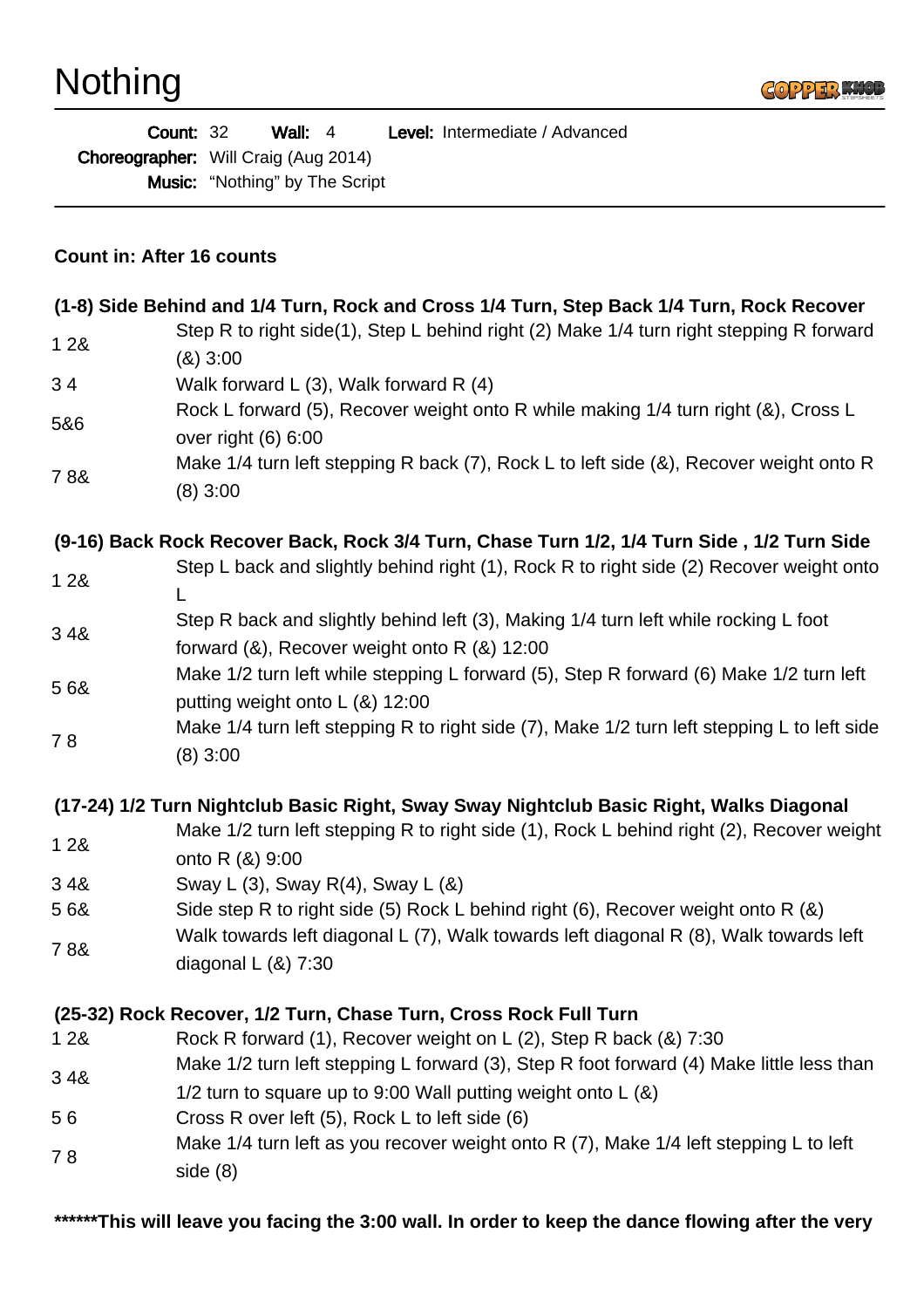Nothing



| <b>Count: 32</b> |                                             | Wall: $4$ |                                       |  | Level: Intermediate / Advanced |
|------------------|---------------------------------------------|-----------|---------------------------------------|--|--------------------------------|
|                  | <b>Choreographer:</b> Will Craig (Aug 2014) |           |                                       |  |                                |
|                  |                                             |           | <b>Music:</b> "Nothing" by The Script |  |                                |

## **Count in: After 16 counts**

|     | (1-8) Side Behind and 1/4 Turn, Rock and Cross 1/4 Turn, Step Back 1/4 Turn, Rock Recover                                                                |
|-----|----------------------------------------------------------------------------------------------------------------------------------------------------------|
| 128 | Step R to right side(1), Step L behind right (2) Make 1/4 turn right stepping R forward<br>(8)3:00                                                       |
| 34  | Walk forward L $(3)$ , Walk forward R $(4)$                                                                                                              |
| 5&6 | Rock L forward (5), Recover weight onto R while making 1/4 turn right (&), Cross L<br>over right (6) 6:00                                                |
| 78& | Make 1/4 turn left stepping R back (7), Rock L to left side (&), Recover weight onto R<br>$(8)$ 3:00                                                     |
|     | (9-16) Back Rock Recover Back, Rock 3/4 Turn, Chase Turn 1/2, 1/4 Turn Side, 1/2 Turn Side                                                               |
| 128 | Step L back and slightly behind right (1), Rock R to right side (2) Recover weight onto<br>L                                                             |
| 34& | Step R back and slightly behind left (3), Making 1/4 turn left while rocking L foot<br>forward $(8)$ , Recover weight onto R $(8)$ 12:00                 |
| 56& | Make 1/2 turn left while stepping L forward (5), Step R forward (6) Make 1/2 turn left<br>putting weight onto L (&) 12:00                                |
| 78  | Make 1/4 turn left stepping R to right side (7), Make 1/2 turn left stepping L to left side<br>$(8)$ 3:00                                                |
|     | (17-24) 1/2 Turn Nightclub Basic Right, Sway Sway Nightclub Basic Right, Walks Diagonal                                                                  |
| 128 | Make 1/2 turn left stepping R to right side (1), Rock L behind right (2), Recover weight<br>onto R (&) 9:00                                              |
| 34& | Sway L (3), Sway R(4), Sway L (&)                                                                                                                        |
| 56& | Side step R to right side (5) Rock L behind right (6), Recover weight onto R (&)                                                                         |
| 78& | Walk towards left diagonal L (7), Walk towards left diagonal R (8), Walk towards left<br>diagonal $L(8)$ 7:30                                            |
|     | (25-32) Rock Recover, 1/2 Turn, Chase Turn, Cross Rock Full Turn                                                                                         |
| 128 | Rock R forward (1), Recover weight on L (2), Step R back (&) 7:30                                                                                        |
| 34& | Make 1/2 turn left stepping L forward (3), Step R foot forward (4) Make little less than<br>1/2 turn to square up to 9:00 Wall putting weight onto L (&) |
| 56  | Cross R over left (5), Rock L to left side (6)                                                                                                           |
| 78  | Make 1/4 turn left as you recover weight onto R (7), Make 1/4 left stepping L to left<br>side(8)                                                         |

**\*\*\*\*\*\*This will leave you facing the 3:00 wall. In order to keep the dance flowing after the very**